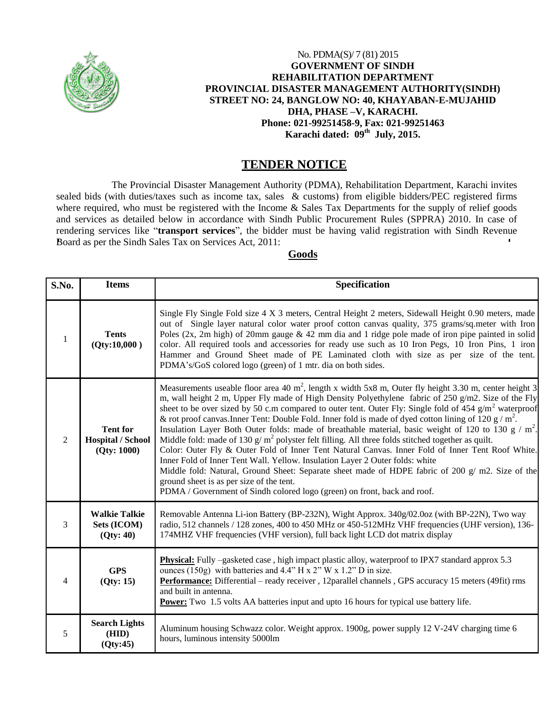

## No. PDMA(S)/ 7 (81) 2015 **GOVERNMENT OF SINDH REHABILITATION DEPARTMENT PROVINCIAL DISASTER MANAGEMENT AUTHORITY(SINDH) STREET NO: 24, BANGLOW NO: 40, KHAYABAN-E-MUJAHID DHA, PHASE –V, KARACHI. Phone: 021-99251458-9, Fax: 021-99251463 Karachi dated: 09th July, 2015.**

## **TENDER NOTICE**

The Provincial Disaster Management Authority (PDMA), Rehabilitation Department, Karachi invites sealed bids (with duties/taxes such as income tax, sales & customs) from eligible bidders/PEC registered firms where required, who must be registered with the Income & Sales Tax Departments for the supply of relief goods and services as detailed below in accordance with Sindh Public Procurement Rules (SPPRA) 2010. In case of rendering services like "**transport services**", the bidder must be having valid registration with Sindh Revenue Board as per the Sindh Sales Tax on Services Act, 2011:

## **Goods**

| S.No. | <b>Items</b>                                               | <b>Specification</b>                                                                                                                                                                                                                                                                                                                                                                                                                                                                                                                                                                                                                                                                                                                                                                                                                                                                                                                                                                                                                                                                    |
|-------|------------------------------------------------------------|-----------------------------------------------------------------------------------------------------------------------------------------------------------------------------------------------------------------------------------------------------------------------------------------------------------------------------------------------------------------------------------------------------------------------------------------------------------------------------------------------------------------------------------------------------------------------------------------------------------------------------------------------------------------------------------------------------------------------------------------------------------------------------------------------------------------------------------------------------------------------------------------------------------------------------------------------------------------------------------------------------------------------------------------------------------------------------------------|
| 1     | <b>Tents</b><br>(Qty:10,000)                               | Single Fly Single Fold size 4 X 3 meters, Central Height 2 meters, Sidewall Height 0.90 meters, made<br>out of Single layer natural color water proof cotton canvas quality, 375 grams/sq.meter with Iron<br>Poles (2x, 2m high) of 20mm gauge $\&$ 42 mm dia and 1 ridge pole made of iron pipe painted in solid<br>color. All required tools and accessories for ready use such as 10 Iron Pegs, 10 Iron Pins, 1 iron<br>Hammer and Ground Sheet made of PE Laminated cloth with size as per size of the tent.<br>PDMA's/GoS colored logo (green) of 1 mtr. dia on both sides.                                                                                                                                                                                                                                                                                                                                                                                                                                                                                                        |
| 2     | <b>Tent for</b><br><b>Hospital / School</b><br>(Qty: 1000) | Measurements useable floor area 40 $m^2$ , length x width 5x8 m, Outer fly height 3.30 m, center height 3<br>m, wall height 2 m, Upper Fly made of High Density Polyethylene fabric of 250 $g/m$ 2. Size of the Fly<br>sheet to be over sized by 50 c.m compared to outer tent. Outer Fly: Single fold of 454 $g/m2$ waterproof<br>& rot proof canvas. Inner Tent: Double Fold. Inner fold is made of dyed cotton lining of 120 g / $m^2$ .<br>Insulation Layer Both Outer folds: made of breathable material, basic weight of 120 to 130 g / m <sup>2</sup> .<br>Middle fold: made of 130 $g/m^2$ polyster felt filling. All three folds stitched together as quilt.<br>Color: Outer Fly & Outer Fold of Inner Tent Natural Canvas. Inner Fold of Inner Tent Roof White.<br>Inner Fold of Inner Tent Wall. Yellow. Insulation Layer 2 Outer folds: white<br>Middle fold: Natural, Ground Sheet: Separate sheet made of HDPE fabric of 200 $g/m2$ . Size of the<br>ground sheet is as per size of the tent.<br>PDMA / Government of Sindh colored logo (green) on front, back and roof. |
| 3     | <b>Walkie Talkie</b><br>Sets (ICOM)<br>(Qty: 40)           | Removable Antenna Li-ion Battery (BP-232N), Wight Approx. 340g/02.0oz (with BP-22N), Two way<br>radio, 512 channels / 128 zones, 400 to 450 MHz or 450-512MHz VHF frequencies (UHF version), 136-<br>174MHZ VHF frequencies (VHF version), full back light LCD dot matrix display                                                                                                                                                                                                                                                                                                                                                                                                                                                                                                                                                                                                                                                                                                                                                                                                       |
| 4     | <b>GPS</b><br>(Qty: 15)                                    | <b>Physical:</b> Fully -gasketed case, high impact plastic alloy, waterproof to IPX7 standard approx 5.3<br>ounces (150g) with batteries and 4.4" H x 2" W x 1.2" D in size.<br>Performance: Differential – ready receiver, 12parallel channels, GPS accuracy 15 meters (49fit) rms<br>and built in antenna.<br><b>Power:</b> Two 1.5 volts AA batteries input and upto 16 hours for typical use battery life.                                                                                                                                                                                                                                                                                                                                                                                                                                                                                                                                                                                                                                                                          |
| 5     | <b>Search Lights</b><br>(HID)<br>(Qty:45)                  | Aluminum housing Schwazz color. Weight approx. 1900g, power supply 12 V-24V charging time 6<br>hours, luminous intensity 5000lm                                                                                                                                                                                                                                                                                                                                                                                                                                                                                                                                                                                                                                                                                                                                                                                                                                                                                                                                                         |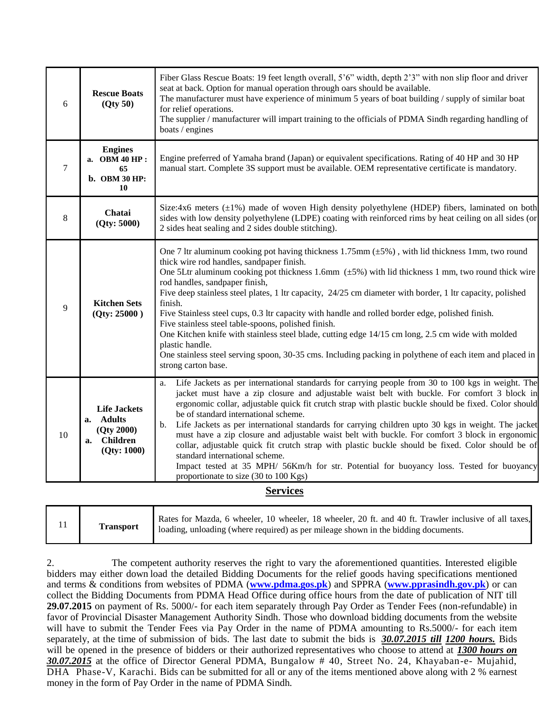| 6  | <b>Rescue Boats</b><br>(Qty 50)                                              | Fiber Glass Rescue Boats: 19 feet length overall, 5'6" width, depth 2'3" with non slip floor and driver<br>seat at back. Option for manual operation through oars should be available.<br>The manufacturer must have experience of minimum 5 years of boat building / supply of similar boat<br>for relief operations.<br>The supplier / manufacturer will impart training to the officials of PDMA Sindh regarding handling of<br>boats / engines                                                                                                                                                                                                                                                                                                                                                                                                                |
|----|------------------------------------------------------------------------------|-------------------------------------------------------------------------------------------------------------------------------------------------------------------------------------------------------------------------------------------------------------------------------------------------------------------------------------------------------------------------------------------------------------------------------------------------------------------------------------------------------------------------------------------------------------------------------------------------------------------------------------------------------------------------------------------------------------------------------------------------------------------------------------------------------------------------------------------------------------------|
| 7  | <b>Engines</b><br>a. OBM 40 HP:<br>65<br>b. OBM 30 HP:<br>10                 | Engine preferred of Yamaha brand (Japan) or equivalent specifications. Rating of 40 HP and 30 HP<br>manual start. Complete 3S support must be available. OEM representative certificate is mandatory.                                                                                                                                                                                                                                                                                                                                                                                                                                                                                                                                                                                                                                                             |
| 8  | Chatai<br>(Qty: 5000)                                                        | Size:4x6 meters $(\pm 1\%)$ made of woven High density polyethylene (HDEP) fibers, laminated on both<br>sides with low density polyethylene (LDPE) coating with reinforced rims by heat ceiling on all sides (or<br>2 sides heat sealing and 2 sides double stitching).                                                                                                                                                                                                                                                                                                                                                                                                                                                                                                                                                                                           |
| 9  | <b>Kitchen Sets</b><br>(Qty: 25000)                                          | One 7 ltr aluminum cooking pot having thickness 1.75mm $(\pm 5\%)$ , with lid thickness 1mm, two round<br>thick wire rod handles, sandpaper finish.<br>One 5Ltr aluminum cooking pot thickness 1.6mm $(\pm 5%)$ with lid thickness 1 mm, two round thick wire<br>rod handles, sandpaper finish,<br>Five deep stainless steel plates, 1 ltr capacity, 24/25 cm diameter with border, 1 ltr capacity, polished<br>finish.<br>Five Stainless steel cups, 0.3 ltr capacity with handle and rolled border edge, polished finish.<br>Five stainless steel table-spoons, polished finish.<br>One Kitchen knife with stainless steel blade, cutting edge 14/15 cm long, 2.5 cm wide with molded<br>plastic handle.<br>One stainless steel serving spoon, 30-35 cms. Including packing in polythene of each item and placed in<br>strong carton base.                      |
| 10 | <b>Life Jackets</b><br>a. Adults<br>(Qty 2000)<br>a. Children<br>(Qty: 1000) | Life Jackets as per international standards for carrying people from 30 to 100 kgs in weight. The<br>a.<br>jacket must have a zip closure and adjustable waist belt with buckle. For comfort 3 block in<br>ergonomic collar, adjustable quick fit crutch strap with plastic buckle should be fixed. Color should<br>be of standard international scheme.<br>Life Jackets as per international standards for carrying children upto 30 kgs in weight. The jacket<br>$\mathbf{b}$ .<br>must have a zip closure and adjustable waist belt with buckle. For comfort 3 block in ergonomic<br>collar, adjustable quick fit crutch strap with plastic buckle should be fixed. Color should be of<br>standard international scheme.<br>Impact tested at 35 MPH/ 56Km/h for str. Potential for buoyancy loss. Tested for buoyancy<br>proportionate to size (30 to 100 Kgs) |

## **Services**

2. The competent authority reserves the right to vary the aforementioned quantities. Interested eligible bidders may either down load the detailed Bidding Documents for the relief goods having specifications mentioned and terms & conditions from websites of PDMA (**[www.pdma.gos.pk](http://www.pdma.gos.pk/)**) and SPPRA (**[www.pprasindh.gov.pk](http://www.pprasindh.gov.pk/)**) or can collect the Bidding Documents from PDMA Head Office during office hours from the date of publication of NIT till **29.07.2015** on payment of Rs. 5000/- for each item separately through Pay Order as Tender Fees (non-refundable) in favor of Provincial Disaster Management Authority Sindh. Those who download bidding documents from the website will have to submit the Tender Fees via Pay Order in the name of PDMA amounting to Rs.5000/- for each item separately, at the time of submission of bids. The last date to submit the bids is *30.07.2015 till 1200 hours.* Bids will be opened in the presence of bidders or their authorized representatives who choose to attend at *1300 hours on 30.07.2015* at the office of Director General PDMA, Bungalow # 40, Street No. 24, Khayaban-e- Mujahid, DHA Phase-V, Karachi. Bids can be submitted for all or any of the items mentioned above along with 2 % earnest money in the form of Pay Order in the name of PDMA Sindh.